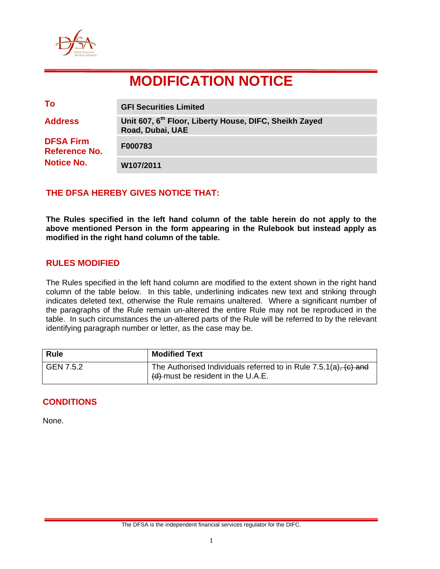

# **MODIFICATION NOTICE**

| To                                | <b>GFI Securities Limited</b>                                                          |
|-----------------------------------|----------------------------------------------------------------------------------------|
| <b>Address</b>                    | Unit 607, 6 <sup>th</sup> Floor, Liberty House, DIFC, Sheikh Zayed<br>Road, Dubai, UAE |
| <b>DFSA Firm</b><br>Reference No. | F000783                                                                                |
| <b>Notice No.</b>                 | W107/2011                                                                              |

## **THE DFSA HEREBY GIVES NOTICE THAT:**

**The Rules specified in the left hand column of the table herein do not apply to the above mentioned Person in the form appearing in the Rulebook but instead apply as modified in the right hand column of the table.** 

### **RULES MODIFIED**

The Rules specified in the left hand column are modified to the extent shown in the right hand column of the table below. In this table, underlining indicates new text and striking through indicates deleted text, otherwise the Rule remains unaltered. Where a significant number of the paragraphs of the Rule remain un-altered the entire Rule may not be reproduced in the table. In such circumstances the un-altered parts of the Rule will be referred to by the relevant identifying paragraph number or letter, as the case may be.

| <b>Rule</b> | <b>Modified Text</b>                                                                                        |
|-------------|-------------------------------------------------------------------------------------------------------------|
| GEN 7.5.2   | The Authorised Individuals referred to in Rule $7.5.1(a)$ , $(c)$ and<br>(d) must be resident in the U.A.E. |

## **CONDITIONS**

None.